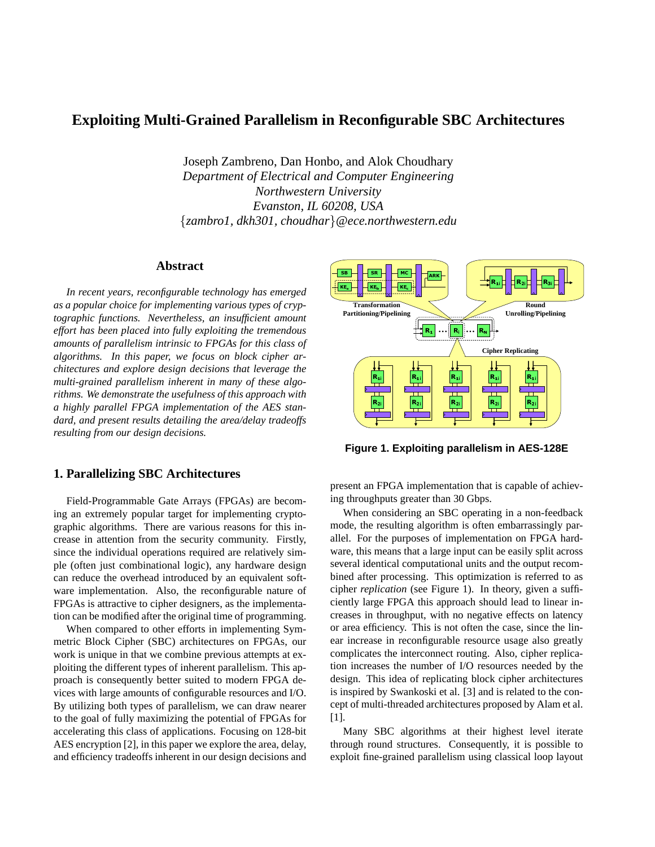# **Exploiting Multi-Grained Parallelism in Reconfigurable SBC Architectures**

Joseph Zambreno, Dan Honbo, and Alok Choudhary *Department of Electrical and Computer Engineering Northwestern University Evanston, IL 60208, USA {zambro1, dkh301, choudhar}@ece.northwestern.edu*

## **Abstract**

*In recent years, reconfigurable technology has emerged as a popular choice for implementing various types of cryptographic functions. Nevertheless, an insufficient amount effort has been placed into fully exploiting the tremendous amounts of parallelism intrinsic to FPGAs for this class of algorithms. In this paper, we focus on block cipher architectures and explore design decisions that leverage the multi-grained parallelism inherent in many of these algorithms. We demonstrate the usefulness of this approach with a highly parallel FPGA implementation of the AES standard, and present results detailing the area/delay tradeoffs resulting from our design decisions.*

# **1. Parallelizing SBC Architectures**

Field-Programmable Gate Arrays (FPGAs) are becoming an extremely popular target for implementing cryptographic algorithms. There are various reasons for this increase in attention from the security community. Firstly, since the individual operations required are relatively simple (often just combinational logic), any hardware design can reduce the overhead introduced by an equivalent software implementation. Also, the reconfigurable nature of FPGAs is attractive to cipher designers, as the implementation can be modified after the original time of programming.

When compared to other efforts in implementing Symmetric Block Cipher (SBC) architectures on FPGAs, our work is unique in that we combine previous attempts at exploiting the different types of inherent parallelism. This approach is consequently better suited to modern FPGA devices with large amounts of configurable resources and I/O. By utilizing both types of parallelism, we can draw nearer to the goal of fully maximizing the potential of FPGAs for accelerating this class of applications. Focusing on 128-bit AES encryption [2], in this paper we explore the area, delay, and efficiency tradeoffs inherent in our design decisions and



**Figure 1. Exploiting parallelism in AES-128E**

present an FPGA implementation that is capable of achieving throughputs greater than 30 Gbps.

When considering an SBC operating in a non-feedback mode, the resulting algorithm is often embarrassingly parallel. For the purposes of implementation on FPGA hardware, this means that a large input can be easily split across several identical computational units and the output recombined after processing. This optimization is referred to as cipher *replication* (see Figure 1). In theory, given a sufficiently large FPGA this approach should lead to linear increases in throughput, with no negative effects on latency or area efficiency. This is not often the case, since the linear increase in reconfigurable resource usage also greatly complicates the interconnect routing. Also, cipher replication increases the number of I/O resources needed by the design. This idea of replicating block cipher architectures is inspired by Swankoski et al. [3] and is related to the concept of multi-threaded architectures proposed by Alam et al. [1].

Many SBC algorithms at their highest level iterate through round structures. Consequently, it is possible to exploit fine-grained parallelism using classical loop layout